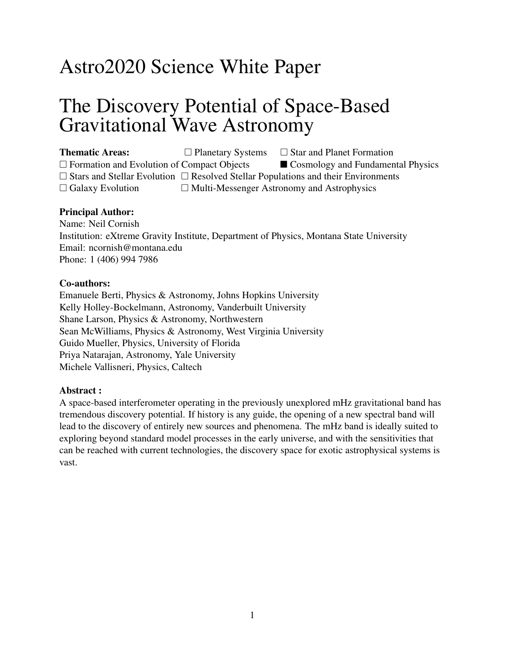# Astro2020 Science White Paper

# The Discovery Potential of Space-Based Gravitational Wave Astronomy

**Thematic Areas:**  $\Box$  Planetary Systems  $\Box$  Star and Planet Formation  $\Box$  Formation and Evolution of Compact Objects  $\Box$  Cosmology and Fundamental Physics  $\Box$  Stars and Stellar Evolution  $\Box$  Resolved Stellar Populations and their Environments  $\Box$  Galaxy Evolution  $\Box$  Multi-Messenger Astronomy and Astrophysics

### Principal Author:

Name: Neil Cornish Institution: eXtreme Gravity Institute, Department of Physics, Montana State University Email: ncornish@montana.edu Phone: 1 (406) 994 7986

### Co-authors:

Emanuele Berti, Physics & Astronomy, Johns Hopkins University Kelly Holley-Bockelmann, Astronomy, Vanderbuilt University Shane Larson, Physics & Astronomy, Northwestern Sean McWilliams, Physics & Astronomy, West Virginia University Guido Mueller, Physics, University of Florida Priya Natarajan, Astronomy, Yale University Michele Vallisneri, Physics, Caltech

### Abstract :

A space-based interferometer operating in the previously unexplored mHz gravitational band has tremendous discovery potential. If history is any guide, the opening of a new spectral band will lead to the discovery of entirely new sources and phenomena. The mHz band is ideally suited to exploring beyond standard model processes in the early universe, and with the sensitivities that can be reached with current technologies, the discovery space for exotic astrophysical systems is vast.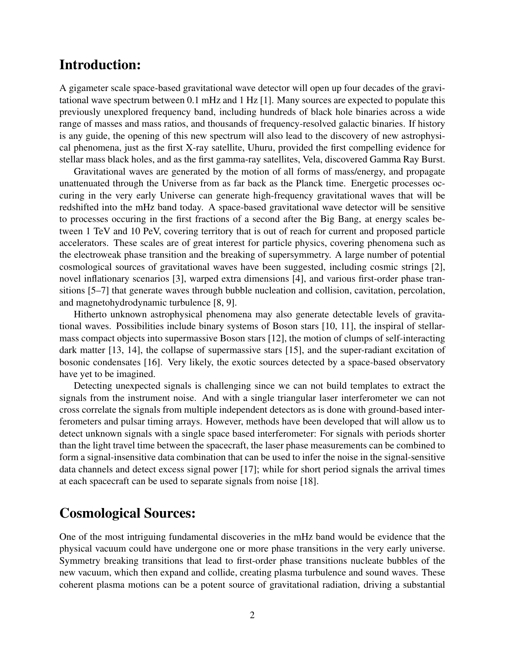# Introduction:

A gigameter scale space-based gravitational wave detector will open up four decades of the gravitational wave spectrum between 0.1 mHz and 1 Hz [1]. Many sources are expected to populate this previously unexplored frequency band, including hundreds of black hole binaries across a wide range of masses and mass ratios, and thousands of frequency-resolved galactic binaries. If history is any guide, the opening of this new spectrum will also lead to the discovery of new astrophysical phenomena, just as the first X-ray satellite, Uhuru, provided the first compelling evidence for stellar mass black holes, and as the first gamma-ray satellites, Vela, discovered Gamma Ray Burst.

Gravitational waves are generated by the motion of all forms of mass/energy, and propagate unattenuated through the Universe from as far back as the Planck time. Energetic processes occuring in the very early Universe can generate high-frequency gravitational waves that will be redshifted into the mHz band today. A space-based gravitational wave detector will be sensitive to processes occuring in the first fractions of a second after the Big Bang, at energy scales between 1 TeV and 10 PeV, covering territory that is out of reach for current and proposed particle accelerators. These scales are of great interest for particle physics, covering phenomena such as the electroweak phase transition and the breaking of supersymmetry. A large number of potential cosmological sources of gravitational waves have been suggested, including cosmic strings [2], novel inflationary scenarios [3], warped extra dimensions [4], and various first-order phase transitions [5–7] that generate waves through bubble nucleation and collision, cavitation, percolation, and magnetohydrodynamic turbulence [8, 9].

Hitherto unknown astrophysical phenomena may also generate detectable levels of gravitational waves. Possibilities include binary systems of Boson stars [10, 11], the inspiral of stellarmass compact objects into supermassive Boson stars [12], the motion of clumps of self-interacting dark matter [13, 14], the collapse of supermassive stars [15], and the super-radiant excitation of bosonic condensates [16]. Very likely, the exotic sources detected by a space-based observatory have yet to be imagined.

Detecting unexpected signals is challenging since we can not build templates to extract the signals from the instrument noise. And with a single triangular laser interferometer we can not cross correlate the signals from multiple independent detectors as is done with ground-based interferometers and pulsar timing arrays. However, methods have been developed that will allow us to detect unknown signals with a single space based interferometer: For signals with periods shorter than the light travel time between the spacecraft, the laser phase measurements can be combined to form a signal-insensitive data combination that can be used to infer the noise in the signal-sensitive data channels and detect excess signal power [17]; while for short period signals the arrival times at each spacecraft can be used to separate signals from noise [18].

# Cosmological Sources:

One of the most intriguing fundamental discoveries in the mHz band would be evidence that the physical vacuum could have undergone one or more phase transitions in the very early universe. Symmetry breaking transitions that lead to first-order phase transitions nucleate bubbles of the new vacuum, which then expand and collide, creating plasma turbulence and sound waves. These coherent plasma motions can be a potent source of gravitational radiation, driving a substantial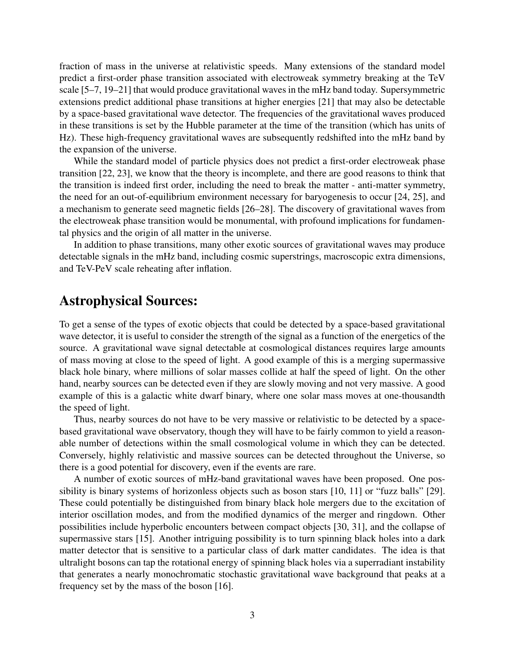fraction of mass in the universe at relativistic speeds. Many extensions of the standard model predict a first-order phase transition associated with electroweak symmetry breaking at the TeV scale [5–7, 19–21] that would produce gravitational waves in the mHz band today. Supersymmetric extensions predict additional phase transitions at higher energies [21] that may also be detectable by a space-based gravitational wave detector. The frequencies of the gravitational waves produced in these transitions is set by the Hubble parameter at the time of the transition (which has units of Hz). These high-frequency gravitational waves are subsequently redshifted into the mHz band by the expansion of the universe.

While the standard model of particle physics does not predict a first-order electroweak phase transition [22, 23], we know that the theory is incomplete, and there are good reasons to think that the transition is indeed first order, including the need to break the matter - anti-matter symmetry, the need for an out-of-equilibrium environment necessary for baryogenesis to occur [24, 25], and a mechanism to generate seed magnetic fields [26–28]. The discovery of gravitational waves from the electroweak phase transition would be monumental, with profound implications for fundamental physics and the origin of all matter in the universe.

In addition to phase transitions, many other exotic sources of gravitational waves may produce detectable signals in the mHz band, including cosmic superstrings, macroscopic extra dimensions, and TeV-PeV scale reheating after inflation.

## Astrophysical Sources:

To get a sense of the types of exotic objects that could be detected by a space-based gravitational wave detector, it is useful to consider the strength of the signal as a function of the energetics of the source. A gravitational wave signal detectable at cosmological distances requires large amounts of mass moving at close to the speed of light. A good example of this is a merging supermassive black hole binary, where millions of solar masses collide at half the speed of light. On the other hand, nearby sources can be detected even if they are slowly moving and not very massive. A good example of this is a galactic white dwarf binary, where one solar mass moves at one-thousandth the speed of light.

Thus, nearby sources do not have to be very massive or relativistic to be detected by a spacebased gravitational wave observatory, though they will have to be fairly common to yield a reasonable number of detections within the small cosmological volume in which they can be detected. Conversely, highly relativistic and massive sources can be detected throughout the Universe, so there is a good potential for discovery, even if the events are rare.

A number of exotic sources of mHz-band gravitational waves have been proposed. One possibility is binary systems of horizonless objects such as boson stars [10, 11] or "fuzz balls" [29]. These could potentially be distinguished from binary black hole mergers due to the excitation of interior oscillation modes, and from the modified dynamics of the merger and ringdown. Other possibilities include hyperbolic encounters between compact objects [30, 31], and the collapse of supermassive stars [15]. Another intriguing possibility is to turn spinning black holes into a dark matter detector that is sensitive to a particular class of dark matter candidates. The idea is that ultralight bosons can tap the rotational energy of spinning black holes via a superradiant instability that generates a nearly monochromatic stochastic gravitational wave background that peaks at a frequency set by the mass of the boson [16].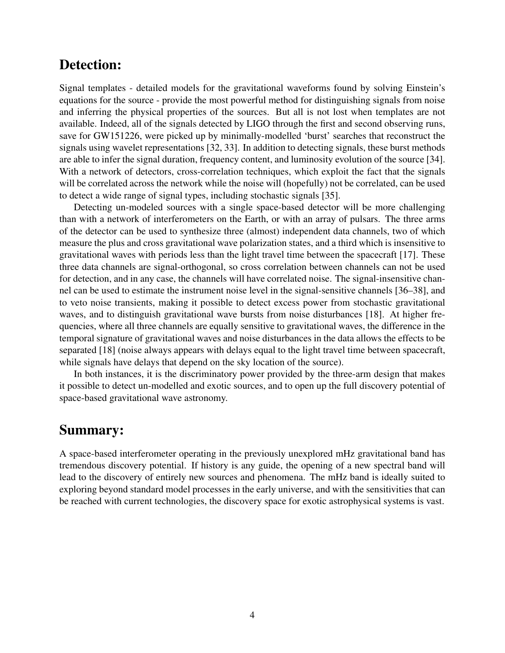# Detection:

Signal templates - detailed models for the gravitational waveforms found by solving Einstein's equations for the source - provide the most powerful method for distinguishing signals from noise and inferring the physical properties of the sources. But all is not lost when templates are not available. Indeed, all of the signals detected by LIGO through the first and second observing runs, save for GW151226, were picked up by minimally-modelled 'burst' searches that reconstruct the signals using wavelet representations [32, 33]. In addition to detecting signals, these burst methods are able to infer the signal duration, frequency content, and luminosity evolution of the source [34]. With a network of detectors, cross-correlation techniques, which exploit the fact that the signals will be correlated across the network while the noise will (hopefully) not be correlated, can be used to detect a wide range of signal types, including stochastic signals [35].

Detecting un-modeled sources with a single space-based detector will be more challenging than with a network of interferometers on the Earth, or with an array of pulsars. The three arms of the detector can be used to synthesize three (almost) independent data channels, two of which measure the plus and cross gravitational wave polarization states, and a third which is insensitive to gravitational waves with periods less than the light travel time between the spacecraft [17]. These three data channels are signal-orthogonal, so cross correlation between channels can not be used for detection, and in any case, the channels will have correlated noise. The signal-insensitive channel can be used to estimate the instrument noise level in the signal-sensitive channels [36–38], and to veto noise transients, making it possible to detect excess power from stochastic gravitational waves, and to distinguish gravitational wave bursts from noise disturbances [18]. At higher frequencies, where all three channels are equally sensitive to gravitational waves, the difference in the temporal signature of gravitational waves and noise disturbances in the data allows the effects to be separated [18] (noise always appears with delays equal to the light travel time between spacecraft, while signals have delays that depend on the sky location of the source).

In both instances, it is the discriminatory power provided by the three-arm design that makes it possible to detect un-modelled and exotic sources, and to open up the full discovery potential of space-based gravitational wave astronomy.

## Summary:

A space-based interferometer operating in the previously unexplored mHz gravitational band has tremendous discovery potential. If history is any guide, the opening of a new spectral band will lead to the discovery of entirely new sources and phenomena. The mHz band is ideally suited to exploring beyond standard model processes in the early universe, and with the sensitivities that can be reached with current technologies, the discovery space for exotic astrophysical systems is vast.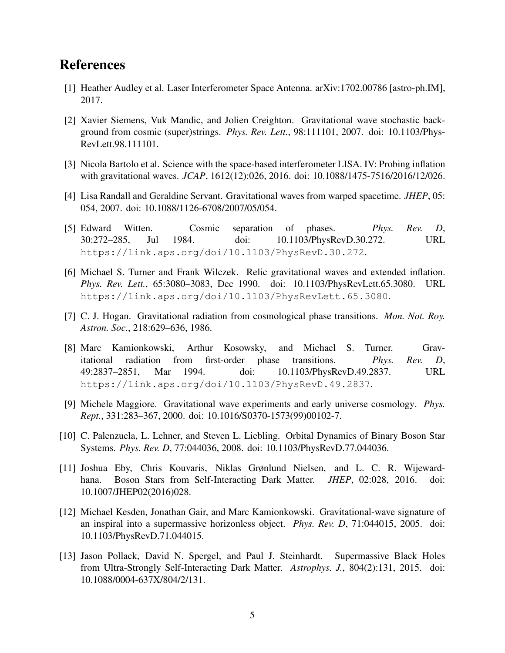# References

- [1] Heather Audley et al. Laser Interferometer Space Antenna. arXiv:1702.00786 [astro-ph.IM], 2017.
- [2] Xavier Siemens, Vuk Mandic, and Jolien Creighton. Gravitational wave stochastic background from cosmic (super)strings. *Phys. Rev. Lett.*, 98:111101, 2007. doi: 10.1103/Phys-RevLett.98.111101.
- [3] Nicola Bartolo et al. Science with the space-based interferometer LISA. IV: Probing inflation with gravitational waves. *JCAP*, 1612(12):026, 2016. doi: 10.1088/1475-7516/2016/12/026.
- [4] Lisa Randall and Geraldine Servant. Gravitational waves from warped spacetime. *JHEP*, 05: 054, 2007. doi: 10.1088/1126-6708/2007/05/054.
- [5] Edward Witten. Cosmic separation of phases. *Phys. Rev. D*, 30:272–285, Jul 1984. doi: 10.1103/PhysRevD.30.272. URL https://link.aps.org/doi/10.1103/PhysRevD.30.272.
- [6] Michael S. Turner and Frank Wilczek. Relic gravitational waves and extended inflation. *Phys. Rev. Lett.*, 65:3080–3083, Dec 1990. doi: 10.1103/PhysRevLett.65.3080. URL https://link.aps.org/doi/10.1103/PhysRevLett.65.3080.
- [7] C. J. Hogan. Gravitational radiation from cosmological phase transitions. *Mon. Not. Roy. Astron. Soc.*, 218:629–636, 1986.
- [8] Marc Kamionkowski, Arthur Kosowsky, and Michael S. Turner. Gravitational radiation from first-order phase transitions. *Phys. Rev. D*, 49:2837–2851, Mar 1994. doi: 10.1103/PhysRevD.49.2837. URL https://link.aps.org/doi/10.1103/PhysRevD.49.2837.
- [9] Michele Maggiore. Gravitational wave experiments and early universe cosmology. *Phys. Rept.*, 331:283–367, 2000. doi: 10.1016/S0370-1573(99)00102-7.
- [10] C. Palenzuela, L. Lehner, and Steven L. Liebling. Orbital Dynamics of Binary Boson Star Systems. *Phys. Rev. D*, 77:044036, 2008. doi: 10.1103/PhysRevD.77.044036.
- [11] Joshua Eby, Chris Kouvaris, Niklas Grønlund Nielsen, and L. C. R. Wijewardhana. Boson Stars from Self-Interacting Dark Matter. *JHEP*, 02:028, 2016. doi: 10.1007/JHEP02(2016)028.
- [12] Michael Kesden, Jonathan Gair, and Marc Kamionkowski. Gravitational-wave signature of an inspiral into a supermassive horizonless object. *Phys. Rev. D*, 71:044015, 2005. doi: 10.1103/PhysRevD.71.044015.
- [13] Jason Pollack, David N. Spergel, and Paul J. Steinhardt. Supermassive Black Holes from Ultra-Strongly Self-Interacting Dark Matter. *Astrophys. J.*, 804(2):131, 2015. doi: 10.1088/0004-637X/804/2/131.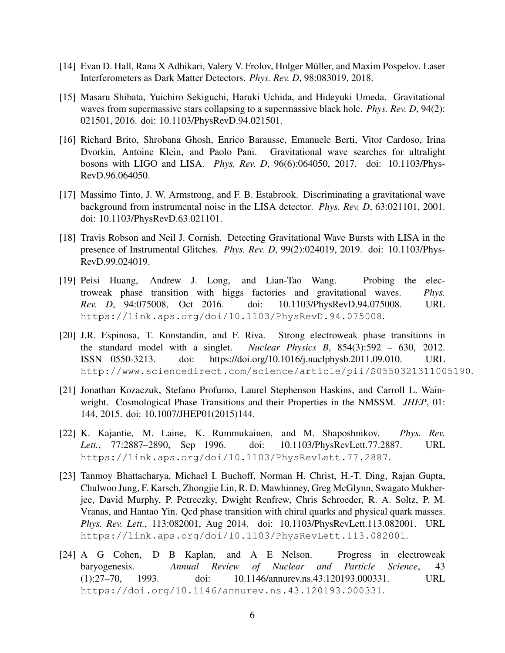- [14] Evan D. Hall, Rana X Adhikari, Valery V. Frolov, Holger Muller, and Maxim Pospelov. Laser ¨ Interferometers as Dark Matter Detectors. *Phys. Rev. D*, 98:083019, 2018.
- [15] Masaru Shibata, Yuichiro Sekiguchi, Haruki Uchida, and Hideyuki Umeda. Gravitational waves from supermassive stars collapsing to a supermassive black hole. *Phys. Rev. D*, 94(2): 021501, 2016. doi: 10.1103/PhysRevD.94.021501.
- [16] Richard Brito, Shrobana Ghosh, Enrico Barausse, Emanuele Berti, Vitor Cardoso, Irina Dvorkin, Antoine Klein, and Paolo Pani. Gravitational wave searches for ultralight bosons with LIGO and LISA. *Phys. Rev. D*, 96(6):064050, 2017. doi: 10.1103/Phys-RevD.96.064050.
- [17] Massimo Tinto, J. W. Armstrong, and F. B. Estabrook. Discriminating a gravitational wave background from instrumental noise in the LISA detector. *Phys. Rev. D*, 63:021101, 2001. doi: 10.1103/PhysRevD.63.021101.
- [18] Travis Robson and Neil J. Cornish. Detecting Gravitational Wave Bursts with LISA in the presence of Instrumental Glitches. *Phys. Rev. D*, 99(2):024019, 2019. doi: 10.1103/Phys-RevD.99.024019.
- [19] Peisi Huang, Andrew J. Long, and Lian-Tao Wang. Probing the electroweak phase transition with higgs factories and gravitational waves. *Phys. Rev. D*, 94:075008, Oct 2016. doi: 10.1103/PhysRevD.94.075008. URL https://link.aps.org/doi/10.1103/PhysRevD.94.075008.
- [20] J.R. Espinosa, T. Konstandin, and F. Riva. Strong electroweak phase transitions in the standard model with a singlet. *Nuclear Physics B*, 854(3):592 – 630, 2012. ISSN 0550-3213. doi: https://doi.org/10.1016/j.nuclphysb.2011.09.010. URL http://www.sciencedirect.com/science/article/pii/S0550321311005190.
- [21] Jonathan Kozaczuk, Stefano Profumo, Laurel Stephenson Haskins, and Carroll L. Wainwright. Cosmological Phase Transitions and their Properties in the NMSSM. *JHEP*, 01: 144, 2015. doi: 10.1007/JHEP01(2015)144.
- [22] K. Kajantie, M. Laine, K. Rummukainen, and M. Shaposhnikov. *Phys. Rev. Lett.*, 77:2887–2890, Sep 1996. doi: 10.1103/PhysRevLett.77.2887. URL https://link.aps.org/doi/10.1103/PhysRevLett.77.2887.
- [23] Tanmoy Bhattacharya, Michael I. Buchoff, Norman H. Christ, H.-T. Ding, Rajan Gupta, Chulwoo Jung, F. Karsch, Zhongjie Lin, R. D. Mawhinney, Greg McGlynn, Swagato Mukherjee, David Murphy, P. Petreczky, Dwight Renfrew, Chris Schroeder, R. A. Soltz, P. M. Vranas, and Hantao Yin. Qcd phase transition with chiral quarks and physical quark masses. *Phys. Rev. Lett.*, 113:082001, Aug 2014. doi: 10.1103/PhysRevLett.113.082001. URL https://link.aps.org/doi/10.1103/PhysRevLett.113.082001.
- [24] A G Cohen, D B Kaplan, and A E Nelson. Progress in electroweak baryogenesis. *Annual Review of Nuclear and Particle Science*, 43 (1):27–70, 1993. doi: 10.1146/annurev.ns.43.120193.000331. URL https://doi.org/10.1146/annurev.ns.43.120193.000331.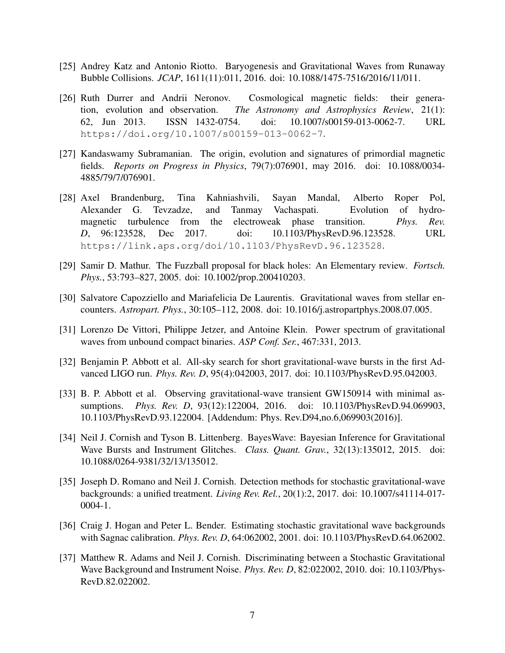- [25] Andrey Katz and Antonio Riotto. Baryogenesis and Gravitational Waves from Runaway Bubble Collisions. *JCAP*, 1611(11):011, 2016. doi: 10.1088/1475-7516/2016/11/011.
- [26] Ruth Durrer and Andrii Neronov. Cosmological magnetic fields: their generation, evolution and observation. *The Astronomy and Astrophysics Review*, 21(1): 62, Jun 2013. ISSN 1432-0754. doi: 10.1007/s00159-013-0062-7. URL https://doi.org/10.1007/s00159-013-0062-7.
- [27] Kandaswamy Subramanian. The origin, evolution and signatures of primordial magnetic fields. *Reports on Progress in Physics*, 79(7):076901, may 2016. doi: 10.1088/0034- 4885/79/7/076901.
- [28] Axel Brandenburg, Tina Kahniashvili, Sayan Mandal, Alberto Roper Pol, Alexander G. Tevzadze, and Tanmay Vachaspati. Evolution of hydromagnetic turbulence from the electroweak phase transition. *Phys. Rev. D*, 96:123528, Dec 2017. doi: 10.1103/PhysRevD.96.123528. URL https://link.aps.org/doi/10.1103/PhysRevD.96.123528.
- [29] Samir D. Mathur. The Fuzzball proposal for black holes: An Elementary review. *Fortsch. Phys.*, 53:793–827, 2005. doi: 10.1002/prop.200410203.
- [30] Salvatore Capozziello and Mariafelicia De Laurentis. Gravitational waves from stellar encounters. *Astropart. Phys.*, 30:105–112, 2008. doi: 10.1016/j.astropartphys.2008.07.005.
- [31] Lorenzo De Vittori, Philippe Jetzer, and Antoine Klein. Power spectrum of gravitational waves from unbound compact binaries. *ASP Conf. Ser.*, 467:331, 2013.
- [32] Benjamin P. Abbott et al. All-sky search for short gravitational-wave bursts in the first Advanced LIGO run. *Phys. Rev. D*, 95(4):042003, 2017. doi: 10.1103/PhysRevD.95.042003.
- [33] B. P. Abbott et al. Observing gravitational-wave transient GW150914 with minimal assumptions. *Phys. Rev. D*, 93(12):122004, 2016. doi: 10.1103/PhysRevD.94.069903, 10.1103/PhysRevD.93.122004. [Addendum: Phys. Rev.D94,no.6,069903(2016)].
- [34] Neil J. Cornish and Tyson B. Littenberg. BayesWave: Bayesian Inference for Gravitational Wave Bursts and Instrument Glitches. *Class. Quant. Grav.*, 32(13):135012, 2015. doi: 10.1088/0264-9381/32/13/135012.
- [35] Joseph D. Romano and Neil J. Cornish. Detection methods for stochastic gravitational-wave backgrounds: a unified treatment. *Living Rev. Rel.*, 20(1):2, 2017. doi: 10.1007/s41114-017- 0004-1.
- [36] Craig J. Hogan and Peter L. Bender. Estimating stochastic gravitational wave backgrounds with Sagnac calibration. *Phys. Rev. D*, 64:062002, 2001. doi: 10.1103/PhysRevD.64.062002.
- [37] Matthew R. Adams and Neil J. Cornish. Discriminating between a Stochastic Gravitational Wave Background and Instrument Noise. *Phys. Rev. D*, 82:022002, 2010. doi: 10.1103/Phys-RevD.82.022002.